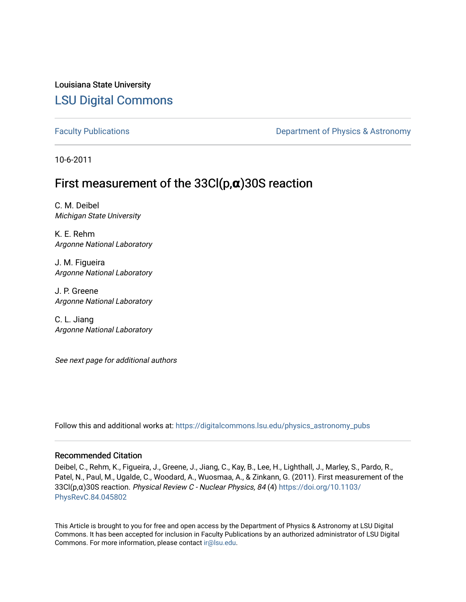### Louisiana State University [LSU Digital Commons](https://digitalcommons.lsu.edu/)

[Faculty Publications](https://digitalcommons.lsu.edu/physics_astronomy_pubs) **Exercise 2 and Table 2 and Table 2 and Table 2 and Table 2 and Table 2 and Table 2 and Table 2 and Table 2 and Table 2 and Table 2 and Table 2 and Table 2 and Table 2 and Table 2 and Table 2 and Table** 

10-6-2011

## First measurement of the 33Cl(p,**α**)30S reaction

C. M. Deibel Michigan State University

K. E. Rehm Argonne National Laboratory

J. M. Figueira Argonne National Laboratory

J. P. Greene Argonne National Laboratory

C. L. Jiang Argonne National Laboratory

See next page for additional authors

Follow this and additional works at: [https://digitalcommons.lsu.edu/physics\\_astronomy\\_pubs](https://digitalcommons.lsu.edu/physics_astronomy_pubs?utm_source=digitalcommons.lsu.edu%2Fphysics_astronomy_pubs%2F1294&utm_medium=PDF&utm_campaign=PDFCoverPages) 

#### Recommended Citation

Deibel, C., Rehm, K., Figueira, J., Greene, J., Jiang, C., Kay, B., Lee, H., Lighthall, J., Marley, S., Pardo, R., Patel, N., Paul, M., Ugalde, C., Woodard, A., Wuosmaa, A., & Zinkann, G. (2011). First measurement of the 33Cl(p,α)30S reaction. Physical Review C - Nuclear Physics, 84 (4) [https://doi.org/10.1103/](https://doi.org/10.1103/PhysRevC.84.045802) [PhysRevC.84.045802](https://doi.org/10.1103/PhysRevC.84.045802) 

This Article is brought to you for free and open access by the Department of Physics & Astronomy at LSU Digital Commons. It has been accepted for inclusion in Faculty Publications by an authorized administrator of LSU Digital Commons. For more information, please contact [ir@lsu.edu](mailto:ir@lsu.edu).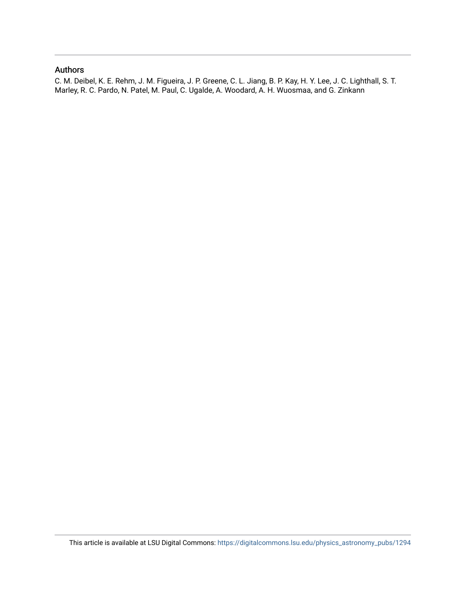#### Authors

C. M. Deibel, K. E. Rehm, J. M. Figueira, J. P. Greene, C. L. Jiang, B. P. Kay, H. Y. Lee, J. C. Lighthall, S. T. Marley, R. C. Pardo, N. Patel, M. Paul, C. Ugalde, A. Woodard, A. H. Wuosmaa, and G. Zinkann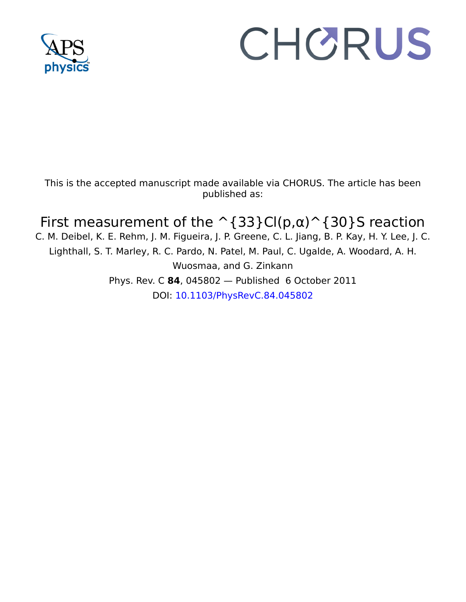

# CHORUS

This is the accepted manuscript made available via CHORUS. The article has been published as:

# First measurement of the  $\hat{\ }$ {33}Cl(p, $\alpha$ ) $\hat{\ }$ {30}S reaction

C. M. Deibel, K. E. Rehm, J. M. Figueira, J. P. Greene, C. L. Jiang, B. P. Kay, H. Y. Lee, J. C. Lighthall, S. T. Marley, R. C. Pardo, N. Patel, M. Paul, C. Ugalde, A. Woodard, A. H. Wuosmaa, and G. Zinkann Phys. Rev. C **84**, 045802 — Published 6 October 2011 DOI: [10.1103/PhysRevC.84.045802](http://dx.doi.org/10.1103/PhysRevC.84.045802)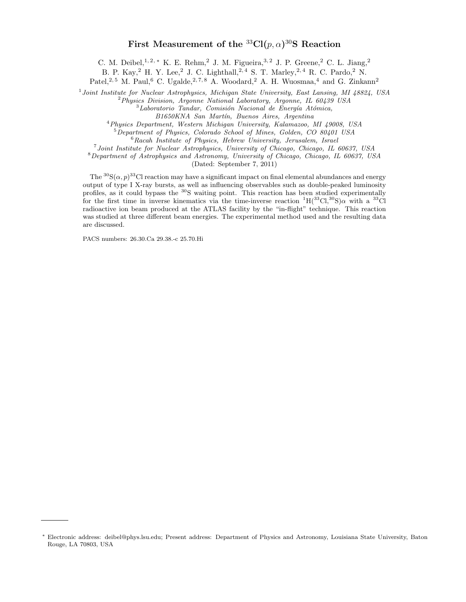#### First Measurement of the  ${}^{33}Cl(p,\alpha){}^{30}S$  Reaction

C. M. Deibel,<sup>1, 2, ∗</sup> K. E. Rehm,<sup>2</sup> J. M. Figueira,<sup>3, 2</sup> J. P. Greene,<sup>2</sup> C. L. Jiang,<sup>2</sup>

B. P. Kay,<sup>2</sup> H. Y. Lee,<sup>2</sup> J. C. Lighthall,<sup>2,4</sup> S. T. Marley,<sup>2,4</sup> R. C. Pardo,<sup>2</sup> N.

Patel,<sup>2, 5</sup> M. Paul,<sup>6</sup> C. Ugalde,<sup>2, 7, 8</sup> A. Woodard,<sup>2</sup> A. H. Wuosmaa,<sup>4</sup> and G. Zinkann<sup>2</sup>

<sup>1</sup> Joint Institute for Nuclear Astrophysics, Michigan State University, East Lansing, MI 48824, USA

 ${}^{2}P_{hysics}$  Division, Argonne National Laboratory, Argonne, IL 60439 USA

 ${}^{3}$ Laboratorio Tandar, Comisión Nacional de Energía Atómica,

B1650KNA San Martín, Buenos Aires, Argentina

<sup>4</sup>Physics Department, Western Michigan University, Kalamazoo, MI 49008, USA

<sup>5</sup>Department of Physics, Colorado School of Mines, Golden, CO 80401 USA

 ${}^{6}$ Racah Institute of Physics, Hebrew University, Jerusalem, Israel

<sup>7</sup> Joint Institute for Nuclear Astrophysics, University of Chicago, Chicago, IL 60637, USA

<sup>8</sup>Department of Astrophysics and Astronomy, University of Chicago, Chicago, IL 60637, USA

(Dated: September 7, 2011)

The  ${}^{30}S(\alpha, p)$ <sup>33</sup>Cl reaction may have a significant impact on final elemental abundances and energy output of type I X-ray bursts, as well as influencing observables such as double-peaked luminosity profiles, as it could bypass the <sup>30</sup>S waiting point. This reaction has been studied experimentally for the first time in inverse kinematics via the time-inverse reaction  ${}^{1}H(^{33}Cl,{}^{30}S)\alpha$  with a  ${}^{33}Cl$ radioactive ion beam produced at the ATLAS facility by the "in-flight" technique. This reaction was studied at three different beam energies. The experimental method used and the resulting data are discussed.

PACS numbers: 26.30.Ca 29.38.-c 25.70.Hi

<sup>∗</sup> Electronic address: deibel@phys.lsu.edu; Present address: Department of Physics and Astronomy, Louisiana State University, Baton Rouge, LA 70803, USA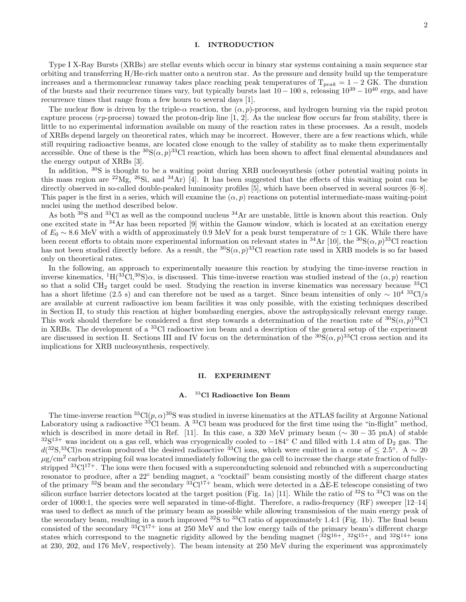#### I. INTRODUCTION

Type I X-Ray Bursts (XRBs) are stellar events which occur in binary star systems containing a main sequence star orbiting and transferring H/He-rich matter onto a neutron star. As the pressure and density build up the temperature increases and a thermonuclear runaway takes place reaching peak temperatures of  $T_{peak} = 1 - 2$  GK. The duration of the bursts and their recurrence times vary, but typically bursts last  $10-100$  s, releasing  $10^{39}-10^{40}$  ergs, and have recurrence times that range from a few hours to several days [1].

The nuclear flow is driven by the triple- $\alpha$  reaction, the  $(\alpha, p)$ -process, and hydrogen burning via the rapid proton capture process ( $rp$ -process) toward the proton-drip line  $[1, 2]$ . As the nuclear flow occurs far from stability, there is little to no experimental information available on many of the reaction rates in these processes. As a result, models of XRBs depend largely on theoretical rates, which may be incorrect. However, there are a few reactions which, while still requiring radioactive beams, are located close enough to the valley of stability as to make them experimentally accessible. One of these is the  ${}^{30}S(\alpha, p)$  ${}^{33}Cl$  reaction, which has been shown to affect final elemental abundances and the energy output of XRBs [3].

In addition, <sup>30</sup>S is thought to be a waiting point during XRB nucleosynthesis (other potential waiting points in this mass region are <sup>22</sup>Mg, <sup>26</sup>Si, and <sup>34</sup>Ar) [4]. It has been suggested that the effects of this waiting point can be directly observed in so-called double-peaked luminosity profiles [5], which have been observed in several sources [6–8]. This paper is the first in a series, which will examine the  $(\alpha, p)$  reactions on potential intermediate-mass waiting-point nuclei using the method described below.

As both  $\frac{30}{3}$ S and  $\frac{33}{1}$ Cl as well as the compound nucleus  $\frac{34}{1}$ Ar are unstable, little is known about this reaction. Only one excited state in <sup>34</sup>Ar has been reported [9] within the Gamow window, which is located at an excitation energy of  $E_0 \sim 8.6$  MeV with a width of approximately 0.9 MeV for a peak burst temperature of  $\simeq 1$  GK. While there have been recent efforts to obtain more experimental information on relevant states in <sup>34</sup>Ar [10], the <sup>30</sup>S( $\alpha$ ,  $p$ )<sup>33</sup>Cl reaction has not been studied directly before. As a result, the  ${}^{30}S(\alpha, p) {}^{33}Cl$  reaction rate used in XRB models is so far based only on theoretical rates.

In the following, an approach to experimentally measure this reaction by studying the time-inverse reaction in inverse kinematics,  ${}^{1}H(3^{3}Cl,{}^{30}S)\alpha$ , is discussed. This time-inverse reaction was studied instead of the  $(\alpha, p)$  reaction so that a solid CH<sub>2</sub> target could be used. Studying the reaction in inverse kinematics was necessary because  $^{33}$ Cl has a short lifetime (2.5 s) and can therefore not be used as a target. Since beam intensities of only  $\sim 10^{4}$  33Cl/s are available at current radioactive ion beam facilities it was only possible, with the existing techniques described in Section II, to study this reaction at higher bombarding energies, above the astrophysically relevant energy range. This work should therefore be considered a first step towards a determination of the reaction rate of  ${}^{30}S(\alpha, p) {}^{33}Cl$ in XRBs. The development of a <sup>33</sup>Cl radioactive ion beam and a description of the general setup of the experiment are discussed in section II. Sections III and IV focus on the determination of the  ${}^{30}S(\alpha, p) {}^{33}Cl$  cross section and its implications for XRB nucleosynthesis, respectively.

#### II. EXPERIMENT

#### A. <sup>33</sup>Cl Radioactive Ion Beam

The time-inverse reaction  ${}^{33}Cl(p,\alpha){}^{30}S$  was studied in inverse kinematics at the ATLAS facility at Argonne National Laboratory using a radioactive  $3^{3}C1$  beam. A  $3^{3}C1$  beam was produced for the first time using the "in-flight" method, which is described in more detail in Ref. [11]. In this case, a 320 MeV primary beam ( $\sim 30 - 35$  pnA) of stable  $32S^{13+}$  was incident on a gas cell, which was cryogenically cooled to  $-184°$  C and filled with 1.4 atm of D<sub>2</sub> gas. The  $d(^{32}S^{33}Cl)n$  reaction produced the desired radioactive <sup>33</sup>Cl ions, which were emitted in a cone of  $\leq 2.5^{\circ}$ . A ~ 20  $\mu$ g/cm<sup>2</sup> carbon stripping foil was located immediately following the gas cell to increase the charge state fraction of fullystripped  $33\text{Cl}^{17+}$ . The ions were then focused with a superconducting solenoid and rebunched with a superconducting resonator to produce, after a 22◦ bending magnet, a "cocktail" beam consisting mostly of the different charge states of the primary <sup>32</sup>S beam and the secondary <sup>33</sup>Cl<sup>17+</sup> beam, which were detected in a  $\Delta E$ -E telescope consisting of two silicon surface barrier detectors located at the target position (Fig. 1a) [11]. While the ratio of  $^{32}S$  to  $^{33}Cl$  was on the order of 1000:1, the species were well separated in time-of-flight. Therefore, a radio-frequency (RF) sweeper [12–14] was used to deflect as much of the primary beam as possible while allowing transmission of the main energy peak of the secondary beam, resulting in a much improved <sup>32</sup>S to <sup>33</sup>Cl ratio of approximately 1.4:1 (Fig. 1b). The final beam consisted of the secondary  ${}^{33}$ Cl<sup>17+</sup> ions at 250 MeV and the low energy tails of the primary beam's different charge states which correspond to the magnetic rigidity allowed by the bending magnet  $(^{32}S^{16+},~^{32}S^{15+},~^{31}S^{14+}$  ions at 230, 202, and 176 MeV, respectively). The beam intensity at 250 MeV during the experiment was approximately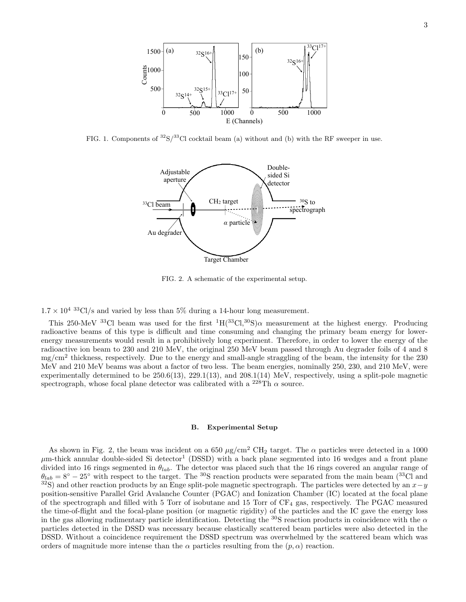

FIG. 1. Components of  ${}^{32}S/{}^{33}Cl$  cocktail beam (a) without and (b) with the RF sweeper in use.



FIG. 2. A schematic of the experimental setup.

 $1.7 \times 10^{4}$  33Cl/s and varied by less than 5% during a 14-hour long measurement.

This 250-MeV <sup>33</sup>Cl beam was used for the first <sup>1</sup>H(<sup>33</sup>Cl,<sup>30</sup>S) $\alpha$  measurement at the highest energy. Producing radioactive beams of this type is difficult and time consuming and changing the primary beam energy for lowerenergy measurements would result in a prohibitively long experiment. Therefore, in order to lower the energy of the radioactive ion beam to 230 and 210 MeV, the original 250 MeV beam passed through Au degrader foils of 4 and 8 mg/cm<sup>2</sup> thickness, respectively. Due to the energy and small-angle straggling of the beam, the intensity for the 230 MeV and 210 MeV beams was about a factor of two less. The beam energies, nominally 250, 230, and 210 MeV, were experimentally determined to be 250.6(13), 229.1(13), and 208.1(14) MeV, respectively, using a split-pole magnetic spectrograph, whose focal plane detector was calibrated with a <sup>228</sup>Th  $\alpha$  source.

#### B. Experimental Setup

As shown in Fig. 2, the beam was incident on a 650  $\mu$ g/cm<sup>2</sup> CH<sub>2</sub> target. The  $\alpha$  particles were detected in a 1000  $\mu$ m-thick annular double-sided Si detector<sup>1</sup> (DSSD) with a back plane segmented into 16 wedges and a front plane divided into 16 rings segmented in  $\theta_{lab}$ . The detector was placed such that the 16 rings covered an angular range of  $\theta_{lab} = 8^{\circ} - 25^{\circ}$  with respect to the target. The <sup>30</sup>S reaction products were separated from the main beam (<sup>33</sup>Cl and <sup>32</sup>S) and other reaction products by an Enge split-pole magnetic spectrograph. The particles were detected by an  $x-y$ position-sensitive Parallel Grid Avalanche Counter (PGAC) and Ionization Chamber (IC) located at the focal plane of the spectrograph and filled with 5 Torr of isobutane and 15 Torr of  $CF_4$  gas, respectively. The PGAC measured the time-of-flight and the focal-plane position (or magnetic rigidity) of the particles and the IC gave the energy loss in the gas allowing rudimentary particle identification. Detecting the  $30S$  reaction products in coincidence with the  $\alpha$ particles detected in the DSSD was necessary because elastically scattered beam particles were also detected in the DSSD. Without a coincidence requirement the DSSD spectrum was overwhelmed by the scattered beam which was orders of magnitude more intense than the  $\alpha$  particles resulting from the  $(p, \alpha)$  reaction.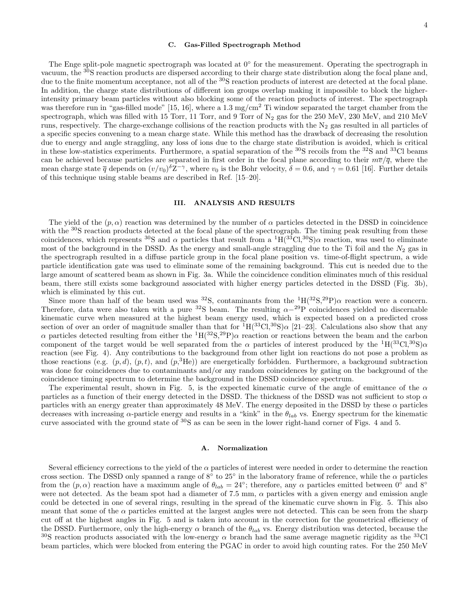#### C. Gas-Filled Spectrograph Method

The Enge split-pole magnetic spectrograph was located at 0◦ for the measurement. Operating the spectrograph in vacuum, the <sup>30</sup>S reaction products are dispersed according to their charge state distribution along the focal plane and, due to the finite momentum acceptance, not all of the <sup>30</sup>S reaction products of interest are detected at the focal plane. In addition, the charge state distributions of different ion groups overlap making it impossible to block the higherintensity primary beam particles without also blocking some of the reaction products of interest. The spectrograph was therefore run in "gas-filled mode" [15, 16], where a 1.3  $mg/cm<sup>2</sup>$  Ti window separated the target chamber from the spectrograph, which was filled with 15 Torr, 11 Torr, and 9 Torr of  $N_2$  gas for the 250 MeV, 230 MeV, and 210 MeV runs, respectively. The charge-exchange collisions of the reaction products with the  $N_2$  gas resulted in all particles of a specific species convening to a mean charge state. While this method has the drawback of decreasing the resolution due to energy and angle straggling, any loss of ions due to the charge state distribution is avoided, which is critical in these low-statistics experiments. Furthermore, a spatial separation of the  ${}^{30}S$  recoils from the  ${}^{32}S$  and  ${}^{33}Cl$  beams can be achieved because particles are separated in first order in the focal plane according to their  $m\overline{v}/\overline{q}$ , where the mean charge state  $\bar{q}$  depends on  $(v/v_0)^{\delta}Z^{-\gamma}$ , where  $v_0$  is the Bohr velocity,  $\delta = 0.6$ , and  $\gamma = 0.61$  [16]. Further details of this technique using stable beams are described in Ref. [15–20].

#### III. ANALYSIS AND RESULTS

The yield of the  $(p, \alpha)$  reaction was determined by the number of  $\alpha$  particles detected in the DSSD in coincidence with the <sup>30</sup>S reaction products detected at the focal plane of the spectrograph. The timing peak resulting from these coincidences, which represents <sup>30</sup>S and  $\alpha$  particles that result from a <sup>1</sup>H(<sup>33</sup>Cl,<sup>30</sup>S) $\alpha$  reaction, was used to eliminate most of the background in the DSSD. As the energy and small-angle straggling due to the Ti foil and the  $N_2$  gas in the spectrograph resulted in a diffuse particle group in the focal plane position vs. time-of-flight spectrum, a wide particle identification gate was used to eliminate some of the remaining background. This cut is needed due to the large amount of scattered beam as shown in Fig. 3a. While the coincidence condition eliminates much of this residual beam, there still exists some background associated with higher energy particles detected in the DSSD (Fig. 3b), which is eliminated by this cut.

Since more than half of the beam used was <sup>32</sup>S, contaminants from the  ${}^{1}H({}^{32}S,{}^{29}P)\alpha$  reaction were a concern. Therefore, data were also taken with a pure <sup>32</sup>S beam. The resulting  $\alpha-^{29}P$  coincidences yielded no discernable kinematic curve when measured at the highest beam energy used, which is expected based on a predicted cross section of over an order of magnitude smaller than that for  ${}^{1}H(3{}^{3}Cl,{}^{30}S)\alpha$  [21–23]. Calculations also show that any α particles detected resulting from either the  ${}^{1}H({}^{32}S, {}^{29}P)α$  reaction or reactions between the beam and the carbon component of the target would be well separated from the  $\alpha$  particles of interest produced by the  ${}^{1}H(33Cl,30S)\alpha$ reaction (see Fig. 4). Any contributions to the background from other light ion reactions do not pose a problem as those reactions (e.g.  $(p, d)$ ,  $(p, t)$ , and  $(p,{}^{3}\text{He})$ ) are energetically forbidden. Furthermore, a background subtraction was done for coincidences due to contaminants and/or any random coincidences by gating on the background of the coincidence timing spectrum to determine the background in the DSSD coincidence spectrum.

The experimental result, shown in Fig. 5, is the expected kinematic curve of the angle of emittance of the  $\alpha$ particles as a function of their energy detected in the DSSD. The thickness of the DSSD was not sufficient to stop  $\alpha$ particles with an energy greater than approximately 48 MeV. The energy deposited in the DSSD by these  $\alpha$  particles decreases with increasing  $\alpha$ -particle energy and results in a "kink" in the  $\theta_{lab}$  vs. Energy spectrum for the kinematic curve associated with the ground state of <sup>30</sup>S as can be seen in the lower right-hand corner of Figs. 4 and 5.

#### A. Normalization

Several efficiency corrections to the yield of the  $\alpha$  particles of interest were needed in order to determine the reaction cross section. The DSSD only spanned a range of  $8°$  to  $25°$  in the laboratory frame of reference, while the  $\alpha$  particles from the  $(p, \alpha)$  reaction have a maximum angle of  $\theta_{lab} = 24^{\circ}$ ; therefore, any  $\alpha$  particles emitted between  $0^{\circ}$  and  $8^{\circ}$ were not detected. As the beam spot had a diameter of 7.5 mm,  $\alpha$  particles with a given energy and emission angle could be detected in one of several rings, resulting in the spread of the kinematic curve shown in Fig. 5. This also meant that some of the  $\alpha$  particles emitted at the largest angles were not detected. This can be seen from the sharp cut off at the highest angles in Fig. 5 and is taken into account in the correction for the geometrical efficiency of the DSSD. Furthermore, only the high-energy  $\alpha$  branch of the  $\theta_{lab}$  vs. Energy distribution was detected, because the <sup>30</sup>S reaction products associated with the low-energy  $\alpha$  branch had the same average magnetic rigidity as the <sup>33</sup>Cl beam particles, which were blocked from entering the PGAC in order to avoid high counting rates. For the 250 MeV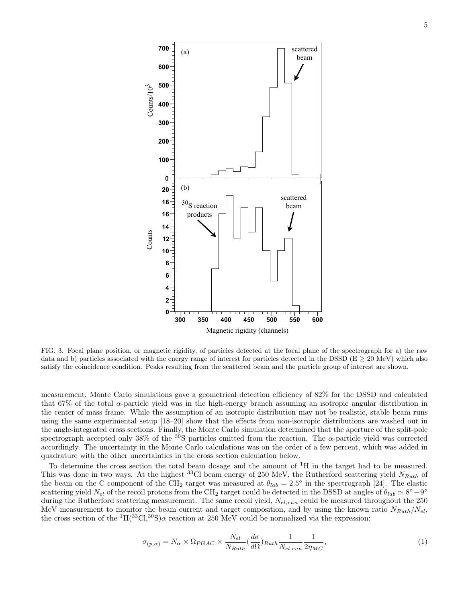

FIG. 3. Focal plane position, or magnetic rigidity, of particles detected at the focal plane of the spectrograph for a) the raw data and b) particles associated with the energy range of interest for particles detected in the DSSD ( $E \ge 20$  MeV) which also satisfy the coincidence condition. Peaks resulting from the scattered beam and the particle group of interest are shown.

measurement, Monte Carlo simulations gave a geometrical detection efficiency of 82% for the DSSD and calculated that 67% of the total α-particle yield was in the high-energy branch assuming an isotropic angular distribution in the center of mass frame. While the assumption of an isotropic distribution may not be realistic, stable beam runs using the same experimental setup [18–20] show that the effects from non-isotropic distributions are washed out in the angle-integrated cross sections. Finally, the Monte Carlo simulation determined that the aperture of the split-pole spectrograph accepted only 38% of the  $30S$  particles emitted from the reaction. The  $\alpha$ -particle yield was corrected accordingly. The uncertainty in the Monte Carlo calculations was on the order of a few percent, which was added in quadrature with the other uncertainties in the cross section calculation below.

To determine the cross section the total beam dosage and the amount of  ${}^{1}H$  in the target had to be measured. This was done in two ways. At the highest <sup>33</sup>Cl beam energy of 250 MeV, the Rutherford scattering yield  $N_{Ruth}$  of the beam on the C component of the CH<sub>2</sub> target was measured at  $\theta_{lab} = 2.5^{\circ}$  in the spectrograph [24]. The elastic scattering yield  $N_{el}$  of the recoil protons from the CH<sub>2</sub> target could be detected in the DSSD at angles of  $\theta_{lab} \simeq 8^{\circ} - 9^{\circ}$ during the Rutherford scattering measurement. The same recoil yield,  $N_{el,run}$  could be measured throughout the 250 MeV measurement to monitor the beam current and target composition, and by using the known ratio  $N_{Ruth}/N_{el}$ , the cross section of the  ${}^{1}H({}^{33}Cl,{}^{30}S)\alpha$  reaction at 250 MeV could be normalized via the expression:

$$
\sigma_{(p,\alpha)} = N_{\alpha} \times \Omega_{PGAC} \times \frac{N_{el}}{N_{Ruth}} \left(\frac{d\sigma}{d\Omega}\right)_{Ruth} \frac{1}{N_{el,run}} \frac{1}{2\eta_{MC}},\tag{1}
$$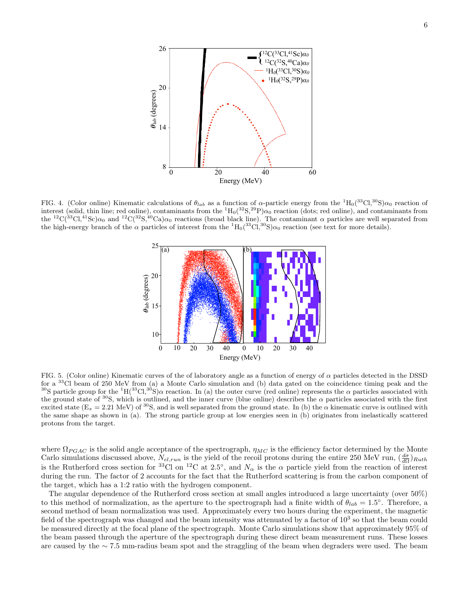

FIG. 4. (Color online) Kinematic calculations of  $\theta_{lab}$  as a function of  $\alpha$ -particle energy from the  ${}^{1}H_{0}({}^{33}Cl,{}^{30}S)\alpha_{0}$  reaction of interest (solid, thin line; red online), contaminants from the  ${}^{1}H_{0}({}^{32}S,{}^{29}P)\alpha_{0}$  reaction (dots; red online), and contaminants from the <sup>12</sup>C(<sup>33</sup>Cl,<sup>41</sup>Sc) $\alpha_0$  and <sup>12</sup>C(<sup>32</sup>S,<sup>40</sup>Ca) $\alpha_0$  reactions (broad black line). The contaminant  $\alpha$  particles are well separated from the high-energy branch of the  $\alpha$  particles of interest from the  ${}^{1}H_{0}({}^{33}Cl,{}^{30}S)\alpha_{0}$  reaction (see text for more details).



for a  $33^{\circ}$ Cl beam of 250 MeV from (a) a Monte Carlo simulation and (b) data gated on the coincidence timing peak and the FIG. 5. (Color online) Kinematic curves of the of laboratory angle as a function of energy of  $\alpha$  particles detected in the DSSD <sup>30</sup>S particle group for the <sup>1</sup>H(<sup>33</sup>Cl,<sup>30</sup>S) $\alpha$  reaction. In (a) the outer curve (red online) represents the  $\alpha$  particles associated with the ground state of <sup>30</sup>S, which is outlined, and the inner curve (blue online) describes the  $\alpha$  particles associated with the first excited state  $(E_x = 2.21 \text{ MeV})$  of <sup>30</sup>S, and is well separated from the ground state. In (b) the  $\alpha$  kinematic curve is outlined with the same shape as shown in (a). The strong particle group at low energies seen in (b) originates from inelastically scattered protons from the target.

where  $\Omega_{PGAC}$  is the solid angle acceptance of the spectrograph,  $\eta_{MC}$  is the efficiency factor determined by the Monte Carlo simulations discussed above,  $N_{el, run}$  is the yield of the recoil protons during the entire 250 MeV run,  $(\frac{d\sigma}{d\Omega})_{Ruth}$ is the Rutherford cross section for <sup>33</sup>Cl on <sup>12</sup>C at 2.5°, and  $N_{\alpha}$  is the  $\alpha$  particle yield from the reaction of interest during the run. The factor of 2 accounts for the fact that the Rutherford scattering is from the carbon component of the target, which has a 1:2 ratio with the hydrogen component.

The angular dependence of the Rutherford cross section at small angles introduced a large uncertainty (over 50%) to this method of normalization, as the aperture to the spectrograph had a finite width of  $\theta_{lab} = 1.5^{\circ}$ . Therefore, a second method of beam normalization was used. Approximately every two hours during the experiment, the magnetic field of the spectrograph was changed and the beam intensity was attenuated by a factor of  $10^3$  so that the beam could be measured directly at the focal plane of the spectrograph. Monte Carlo simulations show that approximately 95% of the beam passed through the aperture of the spectrograph during these direct beam measurement runs. These losses are caused by the ∼ 7.5 mm-radius beam spot and the straggling of the beam when degraders were used. The beam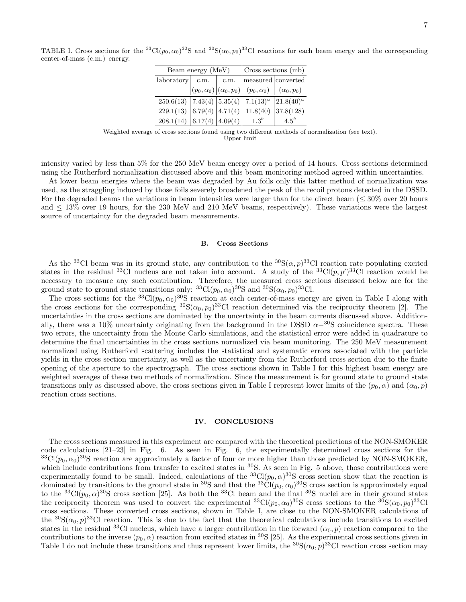TABLE I. Cross sections for the <sup>33</sup>Cl( $p_0, \alpha_0$ )<sup>30</sup>S and <sup>30</sup>S( $\alpha_0, p_0$ )<sup>33</sup>Cl reactions for each beam energy and the corresponding center-of-mass (c.m.) energy.

| Beam energy (MeV)             |      |      | Cross sections (mb)                                             |                    |
|-------------------------------|------|------|-----------------------------------------------------------------|--------------------|
| laboratory                    | c.m. | c.m. |                                                                 | measured converted |
|                               |      |      | $(p_0,\alpha_0)\vert(\alpha_0,p_0)\vert\ \ (p_0,\alpha_0)\vert$ | $(\alpha_0, p_0)$  |
| 250.6(13)   7.43(4)   5.35(4) |      |      | $7.1(13)^{a}$                                                   | $21.8(40)^{a}$     |
| 229.1(13)   6.79(4)   4.71(4) |      |      | 11.8(40)                                                        | 37.8(128)          |
| 208.1(14)   6.17(4)   4.09(4) |      |      | $1.3^{b}$                                                       | $4.5^b$            |

Weighted average of cross sections found using two different methods of normalization (see text). Upper limit

intensity varied by less than 5% for the 250 MeV beam energy over a period of 14 hours. Cross sections determined using the Rutherford normalization discussed above and this beam monitoring method agreed within uncertainties.

At lower beam energies where the beam was degraded by Au foils only this latter method of normalization was used, as the straggling induced by those foils severely broadened the peak of the recoil protons detected in the DSSD. For the degraded beams the variations in beam intensities were larger than for the direct beam (≤ 30% over 20 hours and  $\leq 13\%$  over 19 hours, for the 230 MeV and 210 MeV beams, respectively). These variations were the largest source of uncertainty for the degraded beam measurements.

#### B. Cross Sections

As the <sup>33</sup>Cl beam was in its ground state, any contribution to the <sup>30</sup>S( $\alpha$ ,  $p$ )<sup>33</sup>Cl reaction rate populating excited states in the residual <sup>33</sup>Cl nucleus are not taken into account. A study of the <sup>33</sup>Cl(p, p')<sup>33</sup>Cl reaction would be necessary to measure any such contribution. Therefore, the measured cross sections discussed below are for the ground state to ground state transitions only: <sup>33</sup>Cl( $p_0, \alpha_0$ )<sup>30</sup>S and <sup>30</sup>S( $\alpha_0, p_0$ )<sup>33</sup>Cl.

The cross sections for the <sup>33</sup>Cl( $p_0, \alpha_0$ )<sup>30</sup>S reaction at each center-of-mass energy are given in Table I along with the cross sections for the corresponding  ${}^{30}S(\alpha_0, p_0)$ <sup>33</sup>Cl reaction determined via the reciprocity theorem [2]. The uncertainties in the cross sections are dominated by the uncertainty in the beam currents discussed above. Additionally, there was a 10% uncertainty originating from the background in the DSSD  $\alpha^{-30}$ S coincidence spectra. These two errors, the uncertainty from the Monte Carlo simulations, and the statistical error were added in quadrature to determine the final uncertainties in the cross sections normalized via beam monitoring. The 250 MeV measurement normalized using Rutherford scattering includes the statistical and systematic errors associated with the particle yields in the cross section uncertainty, as well as the uncertainty from the Rutherford cross section due to the finite opening of the aperture to the spectrograph. The cross sections shown in Table I for this highest beam energy are weighted averages of these two methods of normalization. Since the measurement is for ground state to ground state transitions only as discussed above, the cross sections given in Table I represent lower limits of the  $(p_0, \alpha)$  and  $(\alpha_0, p)$ reaction cross sections.

#### IV. CONCLUSIONS

The cross sections measured in this experiment are compared with the theoretical predictions of the NON-SMOKER code calculations [21–23] in Fig. 6. As seen in Fig. 6, the experimentally determined cross sections for the  ${}^{33}Cl(p_0, \alpha_0)$ <sup>30</sup>S reaction are approximately a factor of four or more higher than those predicted by NON-SMOKER, which include contributions from transfer to excited states in  $30S$ . As seen in Fig. 5 above, those contributions were experimentally found to be small. Indeed, calculations of the  ${}^{33}Cl(p_0, \alpha) {}^{30}S$  cross section show that the reaction is dominated by transitions to the ground state in <sup>30</sup>S and that the <sup>33</sup>Cl( $p_0, \alpha_0$ )<sup>30</sup>S cross section is approximately equal to the <sup>33</sup>Cl( $p_0, \alpha$ )<sup>30</sup>S cross section [25]. As both the <sup>33</sup>Cl beam and the final <sup>30</sup>S nuclei are in their ground states the reciprocity theorem was used to convert the experimental  ${}^{33}Cl(p_0, \alpha_0) {}^{30}S$  cross sections to the  ${}^{30}S(\alpha_0, p_0) {}^{33}Cl$ cross sections. These converted cross sections, shown in Table I, are close to the NON-SMOKER calculations of the  ${}^{30}S(\alpha_0, p)$ <sup>33</sup>Cl reaction. This is due to the fact that the theoretical calculations include transitions to excited states in the residual <sup>33</sup>Cl nucleus, which have a larger contribution in the forward  $(\alpha_0, p)$  reaction compared to the contributions to the inverse  $(p_0, \alpha)$  reaction from excited states in <sup>30</sup>S [25]. As the experimental cross sections given in Table I do not include these transitions and thus represent lower limits, the  ${}^{30}S(\alpha_0, p)^{33}Cl$  reaction cross section may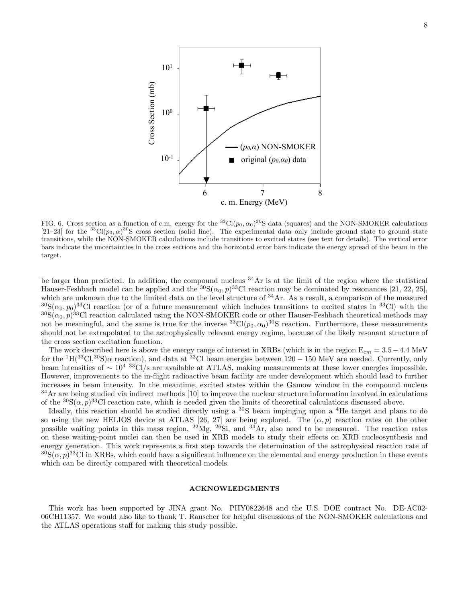

c. m. Energy (MeV)

FIG. 6. Cross section as a function of c.m. energy for the <sup>33</sup>Cl( $p_0, \alpha_0$ )<sup>30</sup>S data (squares) and the NON-SMOKER calculations [21–23] for the <sup>33</sup>Cl( $p_0, \alpha$ )<sup>30</sup>S cross section (solid line). The experimental data only include ground state to ground state transitions, while the NON-SMOKER calculations include transitions to excited states (see text for details). The vertical error bars indicate the uncertainties in the cross sections and the horizontal error bars indicate the energy spread of the beam in the target.

be larger than predicted. In addition, the compound nucleus  $34\text{Ar}$  is at the limit of the region where the statistical Hauser-Feshbach model can be applied and the  ${}^{30}S(\alpha_0, p)^{33}C1$  reaction may be dominated by resonances [21, 22, 25], which are unknown due to the limited data on the level structure of <sup>34</sup>Ar. As a result, a comparison of the measured  ${}^{30}S(\alpha_0, p_0)$ <sup>33</sup>Cl reaction (or of a future measurement which includes transitions to excited states in <sup>33</sup>Cl) with the  ${}^{30}S(\alpha_0, p)^{33}$ Cl reaction calculated using the NON-SMOKER code or other Hauser-Feshbach theoretical methods may not be meaningful, and the same is true for the inverse  ${}^{33}Cl(p_0, \alpha_0) {}^{30}S$  reaction. Furthermore, these measurements should not be extrapolated to the astrophysically relevant energy regime, because of the likely resonant structure of the cross section excitation function.

The work described here is above the energy range of interest in XRBs (which is in the region  $E_{cm} = 3.5 - 4.4$  MeV<br>the <sup>1</sup>H(<sup>33</sup>Cl <sup>30</sup>S) a reaction), and data at <sup>33</sup>Cl beam energies between 120, 150 MeV are needed. Curr for the <sup>1</sup>H(<sup>33</sup>Cl,<sup>30</sup>S) $\alpha$  reaction), and data at <sup>33</sup>Cl beam energies between 120 – 150 MeV are needed. Currently, only beam intensities of ∼ 104 33Cl/s are available at ATLAS, making measurements at these lower energies impossible. However, improvements to the in-flight radioactive beam facility are under development which should lead to further increases in beam intensity. In the meantime, excited states within the Gamow window in the compound nucleus  $34$ Ar are being studied via indirect methods [10] to improve the nuclear structure information involved in calculations of the  ${}^{30}S(\alpha, p)$ <sup>33</sup>Cl reaction rate, which is needed given the limits of theoretical calculations discussed above.

Ideally, this reaction should be studied directly using a <sup>30</sup>S beam impinging upon a <sup>4</sup>He target and plans to do so using the new HELIOS device at ATLAS [26, 27] are being explored. The  $(\alpha, p)$  reaction rates on the other possible waiting points in this mass region,  $^{22}Mg$ ,  $^{26}Si$ , and  $^{34}Ar$ , also need to be measured. The reaction rates on these waiting-point nuclei can then be used in XRB models to study their effects on XRB nucleosynthesis and energy generation. This work represents a first step towards the determination of the astrophysical reaction rate of  ${}^{30}S(\alpha, p) {}^{33}Cl$  in XRBs, which could have a significant influence on the elemental and energy production in these events which can be directly compared with theoretical models.

#### ACKNOWLEDGMENTS

This work has been supported by JINA grant No. PHY0822648 and the U.S. DOE contract No. DE-AC02- 06CH11357. We would also like to thank T. Rauscher for helpful discussions of the NON-SMOKER calculations and the ATLAS operations staff for making this study possible.